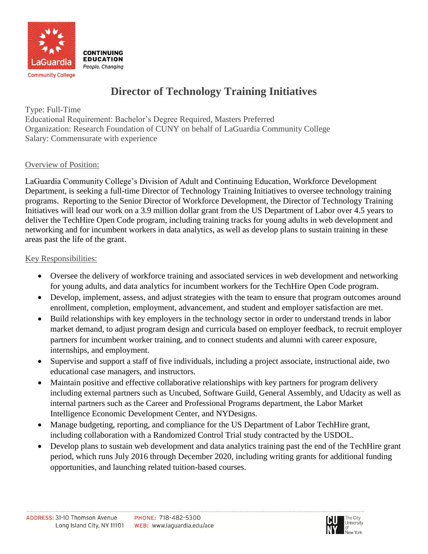

# **Director of Technology Training Initiatives**

Type: Full-Time Educational Requirement: Bachelor's Degree Required, Masters Preferred Organization: Research Foundation of CUNY on behalf of LaGuardia Community College Salary: Commensurate with experience

### Overview of Position:

LaGuardia Community College's Division of Adult and Continuing Education, Workforce Development Department, is seeking a full-time Director of Technology Training Initiatives to oversee technology training programs. Reporting to the Senior Director of Workforce Development, the Director of Technology Training Initiatives will lead our work on a 3.9 million dollar grant from the US Department of Labor over 4.5 years to deliver the TechHire Open Code program, including training tracks for young adults in web development and networking and for incumbent workers in data analytics, as well as develop plans to sustain training in these areas past the life of the grant.

# Key Responsibilities:

- Oversee the delivery of workforce training and associated services in web development and networking for young adults, and data analytics for incumbent workers for the TechHire Open Code program.
- Develop, implement, assess, and adjust strategies with the team to ensure that program outcomes around enrollment, completion, employment, advancement, and student and employer satisfaction are met.
- Build relationships with key employers in the technology sector in order to understand trends in labor market demand, to adjust program design and curricula based on employer feedback, to recruit employer partners for incumbent worker training, and to connect students and alumni with career exposure, internships, and employment.
- Supervise and support a staff of five individuals, including a project associate, instructional aide, two educational case managers, and instructors.
- Maintain positive and effective collaborative relationships with key partners for program delivery including external partners such as Uncubed, Software Guild, General Assembly, and Udacity as well as internal partners such as the Career and Professional Programs department, the Labor Market Intelligence Economic Development Center, and NYDesigns.
- Manage budgeting, reporting, and compliance for the US Department of Labor TechHire grant, including collaboration with a Randomized Control Trial study contracted by the USDOL.
- Develop plans to sustain web development and data analytics training past the end of the TechHire grant period, which runs July 2016 through December 2020, including writing grants for additional funding opportunities, and launching related tuition-based courses.